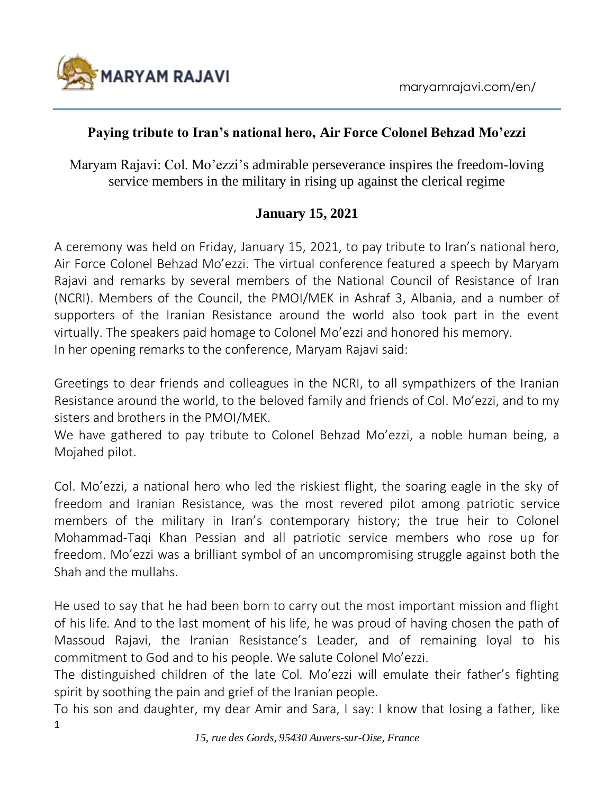

## **Paying tribute to Iran's national hero, Air Force Colonel Behzad Mo'ezzi**

Maryam Rajavi: Col. Mo'ezzi's admirable perseverance inspires the freedom-loving service members in the military in rising up against the clerical regime

## **January 15, 2021**

A ceremony was held on Friday, January 15, 2021, to pay tribute to Iran's national hero, Air Force Colonel Behzad Mo'ezzi. The virtual conference featured a speech by Maryam Rajavi and remarks by several members of the National Council of Resistance of Iran (NCRI). Members of the Council, the PMOI/MEK in Ashraf 3, Albania, and a number of supporters of the Iranian Resistance around the world also took part in the event virtually. The speakers paid homage to Colonel Mo'ezzi and honored his memory. In her opening remarks to the conference, Maryam Rajavi said:

Greetings to dear friends and colleagues in the NCRI, to all sympathizers of the Iranian Resistance around the world, to the beloved family and friends of Col. Mo'ezzi, and to my sisters and brothers in the PMOI/MEK.

We have gathered to pay tribute to Colonel Behzad Mo'ezzi, a noble human being, a Mojahed pilot.

Col. Mo'ezzi, a national hero who led the riskiest flight, the soaring eagle in the sky of freedom and Iranian Resistance, was the most revered pilot among patriotic service members of the military in Iran's contemporary history; the true heir to Colonel Mohammad-Taqi Khan Pessian and all patriotic service members who rose up for freedom. Mo'ezzi was a brilliant symbol of an uncompromising struggle against both the Shah and the mullahs.

He used to say that he had been born to carry out the most important mission and flight of his life. And to the last moment of his life, he was proud of having chosen the path of Massoud Rajavi, the Iranian Resistance's Leader, and of remaining loyal to his commitment to God and to his people. We salute Colonel Mo'ezzi.

The distinguished children of the late Col. Mo'ezzi will emulate their father's fighting spirit by soothing the pain and grief of the Iranian people.

1 To his son and daughter, my dear Amir and Sara, I say: I know that losing a father, like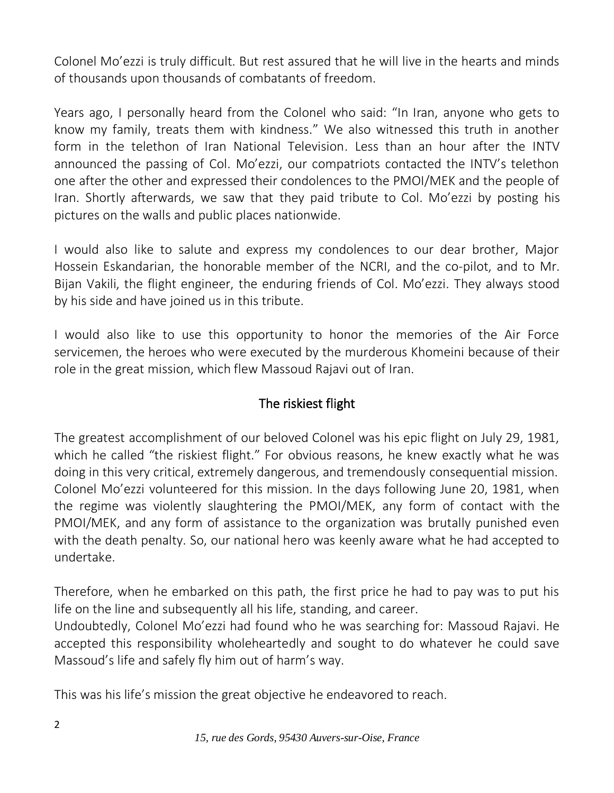Colonel Mo'ezzi is truly difficult. But rest assured that he will live in the hearts and minds of thousands upon thousands of combatants of freedom.

Years ago, I personally heard from the Colonel who said: "In Iran, anyone who gets to know my family, treats them with kindness." We also witnessed this truth in another form in the telethon of Iran National Television. Less than an hour after the INTV announced the passing of Col. Mo'ezzi, our compatriots contacted the INTV's telethon one after the other and expressed their condolences to the PMOI/MEK and the people of Iran. Shortly afterwards, we saw that they paid tribute to Col. Mo'ezzi by posting his pictures on the walls and public places nationwide.

I would also like to salute and express my condolences to our dear brother, Major Hossein Eskandarian, the honorable member of the NCRI, and the co-pilot, and to Mr. Bijan Vakili, the flight engineer, the enduring friends of Col. Mo'ezzi. They always stood by his side and have joined us in this tribute.

I would also like to use this opportunity to honor the memories of the Air Force servicemen, the heroes who were executed by the murderous Khomeini because of their role in the great mission, which flew Massoud Rajavi out of Iran.

## The riskiest flight

The greatest accomplishment of our beloved Colonel was his epic flight on July 29, 1981, which he called "the riskiest flight." For obvious reasons, he knew exactly what he was doing in this very critical, extremely dangerous, and tremendously consequential mission. Colonel Mo'ezzi volunteered for this mission. In the days following June 20, 1981, when the regime was violently slaughtering the PMOI/MEK, any form of contact with the PMOI/MEK, and any form of assistance to the organization was brutally punished even with the death penalty. So, our national hero was keenly aware what he had accepted to undertake.

Therefore, when he embarked on this path, the first price he had to pay was to put his life on the line and subsequently all his life, standing, and career.

Undoubtedly, Colonel Mo'ezzi had found who he was searching for: Massoud Rajavi. He accepted this responsibility wholeheartedly and sought to do whatever he could save Massoud's life and safely fly him out of harm's way.

This was his life's mission the great objective he endeavored to reach.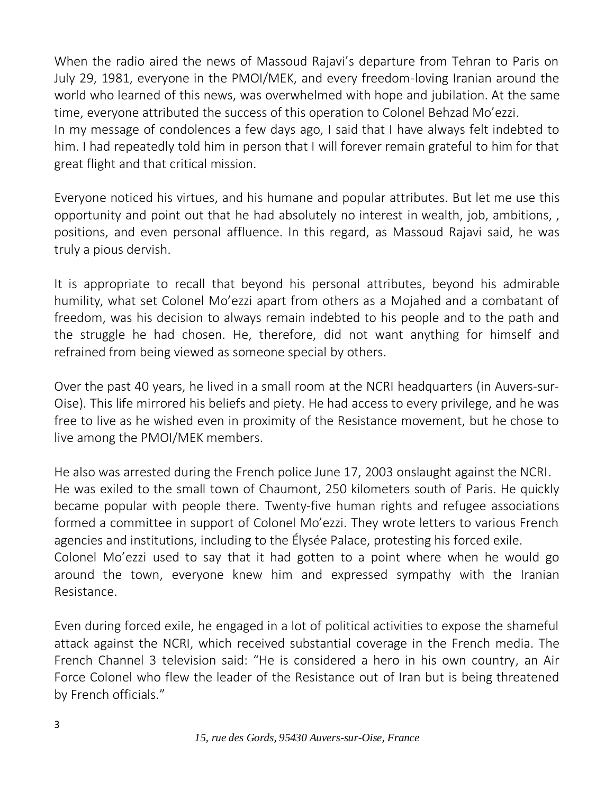When the radio aired the news of Massoud Rajavi's departure from Tehran to Paris on July 29, 1981, everyone in the PMOI/MEK, and every freedom-loving Iranian around the world who learned of this news, was overwhelmed with hope and jubilation. At the same time, everyone attributed the success of this operation to Colonel Behzad Mo'ezzi. In my message of condolences a few days ago, I said that I have always felt indebted to him. I had repeatedly told him in person that I will forever remain grateful to him for that great flight and that critical mission.

Everyone noticed his virtues, and his humane and popular attributes. But let me use this opportunity and point out that he had absolutely no interest in wealth, job, ambitions, , positions, and even personal affluence. In this regard, as Massoud Rajavi said, he was truly a pious dervish.

It is appropriate to recall that beyond his personal attributes, beyond his admirable humility, what set Colonel Mo'ezzi apart from others as a Mojahed and a combatant of freedom, was his decision to always remain indebted to his people and to the path and the struggle he had chosen. He, therefore, did not want anything for himself and refrained from being viewed as someone special by others.

Over the past 40 years, he lived in a small room at the NCRI headquarters (in Auvers-sur-Oise). This life mirrored his beliefs and piety. He had access to every privilege, and he was free to live as he wished even in proximity of the Resistance movement, but he chose to live among the PMOI/MEK members.

He also was arrested during the French police June 17, 2003 onslaught against the NCRI. He was exiled to the small town of Chaumont, 250 kilometers south of Paris. He quickly became popular with people there. Twenty-five human rights and refugee associations formed a committee in support of Colonel Mo'ezzi. They wrote letters to various French agencies and institutions, including to the Élysée Palace, protesting his forced exile. Colonel Mo'ezzi used to say that it had gotten to a point where when he would go around the town, everyone knew him and expressed sympathy with the Iranian Resistance.

Even during forced exile, he engaged in a lot of political activities to expose the shameful attack against the NCRI, which received substantial coverage in the French media. The French Channel 3 television said: "He is considered a hero in his own country, an Air Force Colonel who flew the leader of the Resistance out of Iran but is being threatened by French officials."